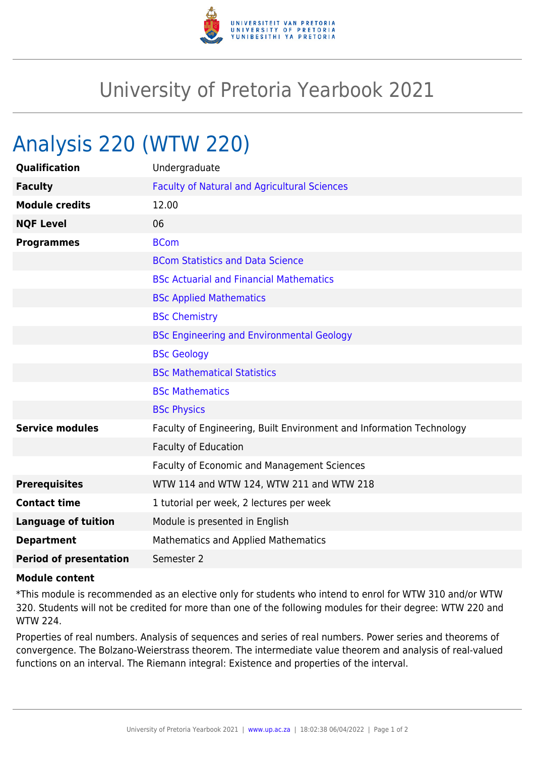

## University of Pretoria Yearbook 2021

## Analysis 220 (WTW 220)

| Qualification                 | Undergraduate                                                        |
|-------------------------------|----------------------------------------------------------------------|
| <b>Faculty</b>                | <b>Faculty of Natural and Agricultural Sciences</b>                  |
| <b>Module credits</b>         | 12.00                                                                |
| <b>NQF Level</b>              | 06                                                                   |
| <b>Programmes</b>             | <b>BCom</b>                                                          |
|                               | <b>BCom Statistics and Data Science</b>                              |
|                               | <b>BSc Actuarial and Financial Mathematics</b>                       |
|                               | <b>BSc Applied Mathematics</b>                                       |
|                               | <b>BSc Chemistry</b>                                                 |
|                               | <b>BSc Engineering and Environmental Geology</b>                     |
|                               | <b>BSc Geology</b>                                                   |
|                               | <b>BSc Mathematical Statistics</b>                                   |
|                               | <b>BSc Mathematics</b>                                               |
|                               | <b>BSc Physics</b>                                                   |
| <b>Service modules</b>        | Faculty of Engineering, Built Environment and Information Technology |
|                               | <b>Faculty of Education</b>                                          |
|                               | Faculty of Economic and Management Sciences                          |
| <b>Prerequisites</b>          | WTW 114 and WTW 124, WTW 211 and WTW 218                             |
| <b>Contact time</b>           | 1 tutorial per week, 2 lectures per week                             |
| <b>Language of tuition</b>    | Module is presented in English                                       |
| <b>Department</b>             | Mathematics and Applied Mathematics                                  |
| <b>Period of presentation</b> | Semester 2                                                           |

## **Module content**

\*This module is recommended as an elective only for students who intend to enrol for WTW 310 and/or WTW 320. Students will not be credited for more than one of the following modules for their degree: WTW 220 and WTW 224.

Properties of real numbers. Analysis of sequences and series of real numbers. Power series and theorems of convergence. The Bolzano-Weierstrass theorem. The intermediate value theorem and analysis of real-valued functions on an interval. The Riemann integral: Existence and properties of the interval.